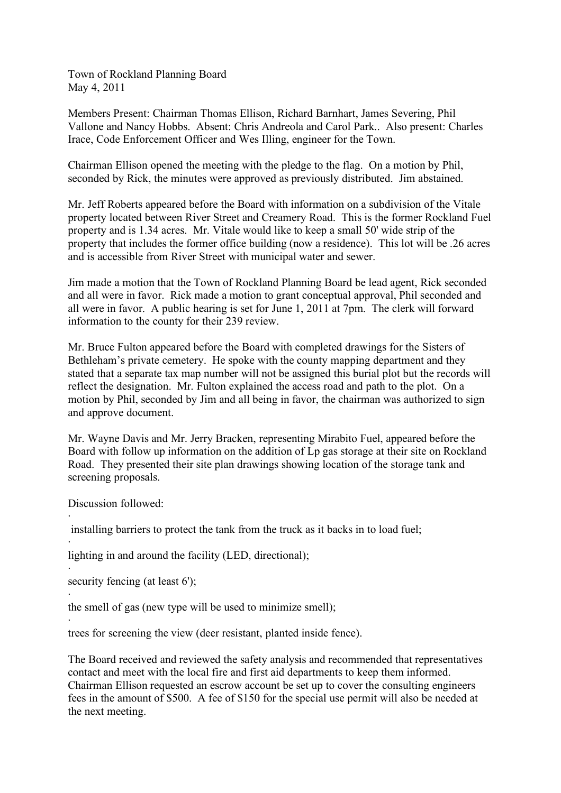Town of Rockland Planning Board May 4, 2011

Members Present: Chairman Thomas Ellison, Richard Barnhart, James Severing, Phil Vallone and Nancy Hobbs. Absent: Chris Andreola and Carol Park.. Also present: Charles Irace, Code Enforcement Officer and Wes Illing, engineer for the Town.

Chairman Ellison opened the meeting with the pledge to the flag. On a motion by Phil, seconded by Rick, the minutes were approved as previously distributed. Jim abstained.

Mr. Jeff Roberts appeared before the Board with information on a subdivision of the Vitale property located between River Street and Creamery Road. This is the former Rockland Fuel property and is 1.34 acres. Mr. Vitale would like to keep a small 50' wide strip of the property that includes the former office building (now a residence). This lot will be .26 acres and is accessible from River Street with municipal water and sewer.

Jim made a motion that the Town of Rockland Planning Board be lead agent, Rick seconded and all were in favor. Rick made a motion to grant conceptual approval, Phil seconded and all were in favor. A public hearing is set for June 1, 2011 at 7pm. The clerk will forward information to the county for their 239 review.

Mr. Bruce Fulton appeared before the Board with completed drawings for the Sisters of Bethleham's private cemetery. He spoke with the county mapping department and they stated that a separate tax map number will not be assigned this burial plot but the records will reflect the designation. Mr. Fulton explained the access road and path to the plot. On a motion by Phil, seconded by Jim and all being in favor, the chairman was authorized to sign and approve document.

Mr. Wayne Davis and Mr. Jerry Bracken, representing Mirabito Fuel, appeared before the Board with follow up information on the addition of Lp gas storage at their site on Rockland Road. They presented their site plan drawings showing location of the storage tank and screening proposals.

Discussion followed:

·

·

·

·

installing barriers to protect the tank from the truck as it backs in to load fuel;

· lighting in and around the facility (LED, directional);

security fencing (at least 6');

the smell of gas (new type will be used to minimize smell);

trees for screening the view (deer resistant, planted inside fence).

The Board received and reviewed the safety analysis and recommended that representatives contact and meet with the local fire and first aid departments to keep them informed. Chairman Ellison requested an escrow account be set up to cover the consulting engineers fees in the amount of \$500. A fee of \$150 for the special use permit will also be needed at the next meeting.